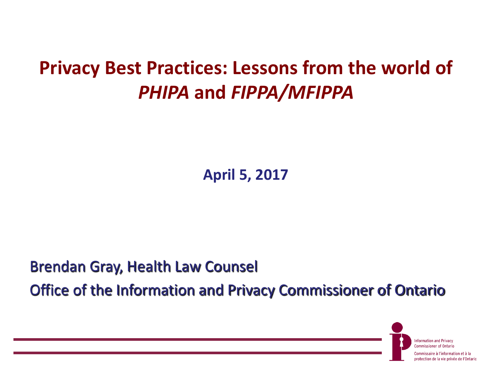### **Privacy Best Practices: Lessons from the world of**  *PHIPA* **and** *FIPPA/MFIPPA*

**April 5, 2017**

#### Brendan Gray, Health Law Counsel

Office of the Information and Privacy Commissioner of Ontario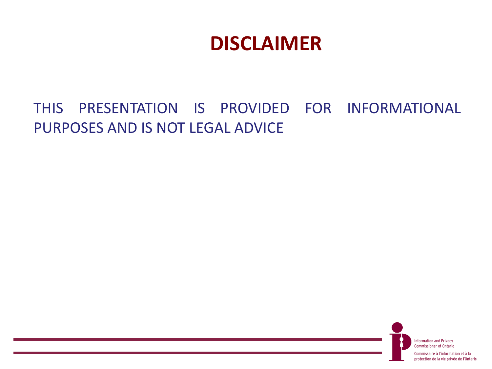### **DISCLAIMER**

#### THIS PRESENTATION IS PROVIDED FOR INFORMATIONAL PURPOSES AND IS NOT LEGAL ADVICE

**Information and Privacy Commissioner of Ontario** Commissaire à l'information et à la protection de la vie privée de l'Ontario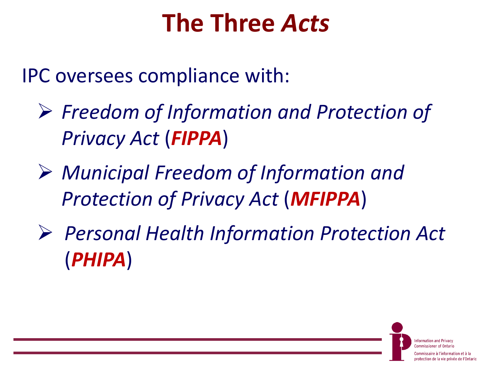# **The Three** *Acts*

IPC oversees compliance with:

- *Freedom of Information and Protection of Privacy Act* (*FIPPA*)
- *Municipal Freedom of Information and Protection of Privacy Act* (*MFIPPA*)
- *Personal Health Information Protection Act*  (*PHIPA*)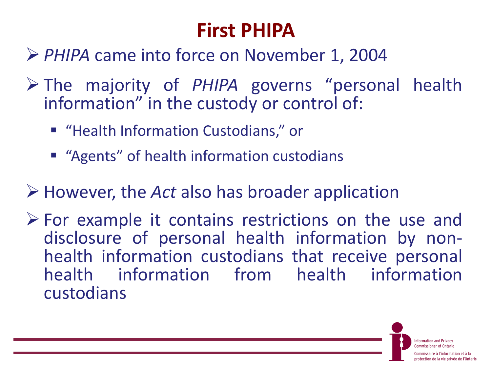### **First PHIPA**

*PHIPA* came into force on November 1, 2004

- The majority of *PHIPA* governs "personal health information" in the custody or control of:
	- "Health Information Custodians," or
	- **E** "Agents" of health information custodians

#### However, the *Act* also has broader application

 $\triangleright$  For example it contains restrictions on the use and disclosure of personal health information by nonhealth information custodians that receive personal health information from health information custodians

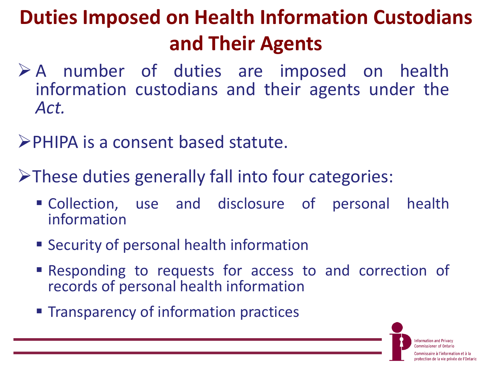## **Duties Imposed on Health Information Custodians and Their Agents**

- A number of duties are imposed on health information custodians and their agents under the *Act.*
- PHIPA is a consent based statute.
- $\triangleright$ These duties generally fall into four categories:
	- Collection, use and disclosure of personal health information
	- Security of personal health information
	- Responding to requests for access to and correction of records of personal health information
	- **Transparency of information practices**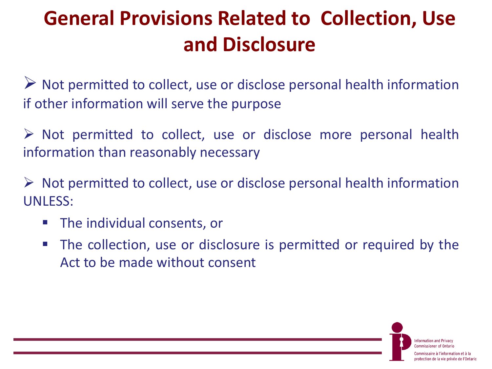### **General Provisions Related to Collection, Use and Disclosure**

 $\triangleright$  Not permitted to collect, use or disclose personal health information if other information will serve the purpose

 $\triangleright$  Not permitted to collect, use or disclose more personal health information than reasonably necessary

 $\triangleright$  Not permitted to collect, use or disclose personal health information UNLESS:

- **The individual consents, or**
- The collection, use or disclosure is permitted or required by the Act to be made without consent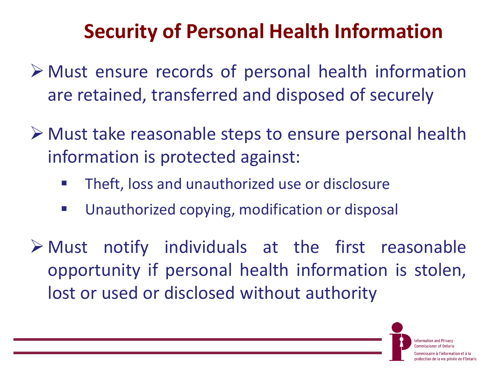### **Security of Personal Health Information**

- Must ensure records of personal health information are retained, transferred and disposed of securely
- Must take reasonable steps to ensure personal health information is protected against:
	- Theft, loss and unauthorized use or disclosure
	- Unauthorized copying, modification or disposal
- $\triangleright$  Must notify individuals at the first reasonable opportunity if personal health information is stolen, lost or used or disclosed without authority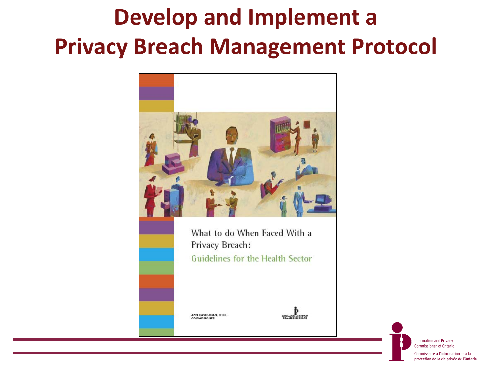# **Develop and Implement a Privacy Breach Management Protocol**



What to do When Faced With a Privacy Breach: **Guidelines for the Health Sector** 

ANN CAVOUKIAN, PH.D. COMMISSIONER



**Information and Privacy Commissioner of Ontario** Commissaire à l'information et à la protection de la vie privée de l'Ontario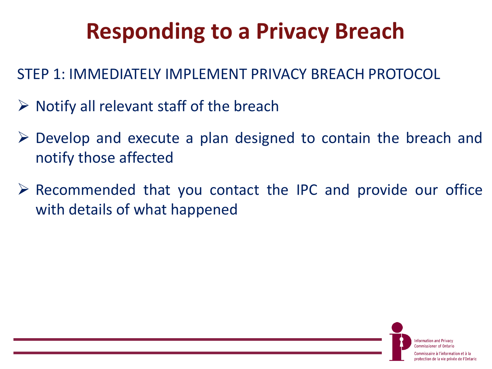# **Responding to a Privacy Breach**

STEP 1: IMMEDIATELY IMPLEMENT PRIVACY BREACH PROTOCOL

- $\triangleright$  Notify all relevant staff of the breach
- Develop and execute a plan designed to contain the breach and notify those affected
- $\triangleright$  Recommended that you contact the IPC and provide our office with details of what happened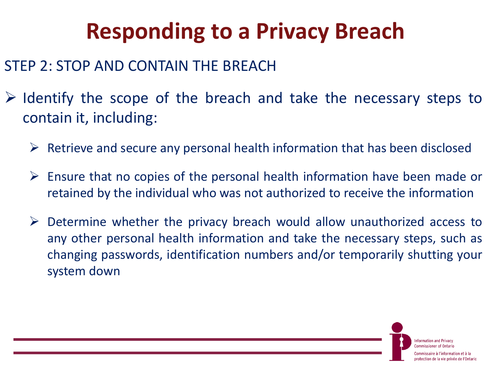## **Responding to a Privacy Breach**

#### STEP 2: STOP AND CONTAIN THE BREACH

- $\triangleright$  Identify the scope of the breach and take the necessary steps to contain it, including:
	- $\triangleright$  Retrieve and secure any personal health information that has been disclosed
	- $\triangleright$  Ensure that no copies of the personal health information have been made or retained by the individual who was not authorized to receive the information
	- $\triangleright$  Determine whether the privacy breach would allow unauthorized access to any other personal health information and take the necessary steps, such as changing passwords, identification numbers and/or temporarily shutting your system down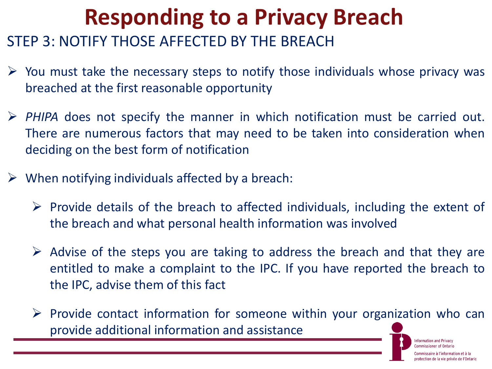### **Responding to a Privacy Breach** STEP 3: NOTIFY THOSE AFFECTED BY THE BREACH

- $\triangleright$  You must take the necessary steps to notify those individuals whose privacy was breached at the first reasonable opportunity
- *PHIPA* does not specify the manner in which notification must be carried out. There are numerous factors that may need to be taken into consideration when deciding on the best form of notification
- $\triangleright$  When notifying individuals affected by a breach:
	- $\triangleright$  Provide details of the breach to affected individuals, including the extent of the breach and what personal health information was involved
	- $\triangleright$  Advise of the steps you are taking to address the breach and that they are entitled to make a complaint to the IPC. If you have reported the breach to the IPC, advise them of this fact
	- $\triangleright$  Provide contact information for someone within your organization who can provide additional information and assistance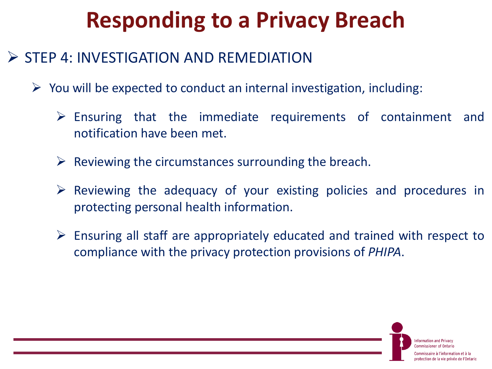## **Responding to a Privacy Breach**

#### $\triangleright$  STEP 4: INVESTIGATION AND REMEDIATION

- $\triangleright$  You will be expected to conduct an internal investigation, including:
	- $\triangleright$  Ensuring that the immediate requirements of containment and notification have been met.
	- $\triangleright$  Reviewing the circumstances surrounding the breach.
	- $\triangleright$  Reviewing the adequacy of your existing policies and procedures in protecting personal health information.
	- $\triangleright$  Ensuring all staff are appropriately educated and trained with respect to compliance with the privacy protection provisions of *PHIPA*.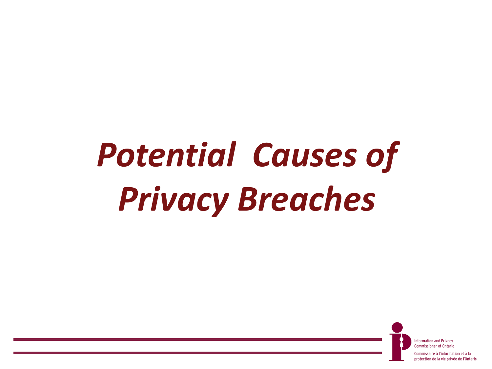# *Potential Causes of Privacy Breaches*

otection de la vie privée de l'Ontario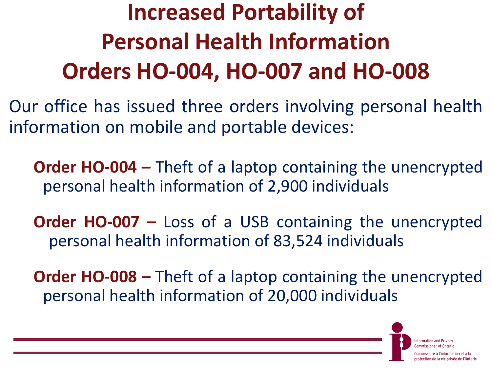# **Increased Portability of Personal Health Information Orders HO-004, HO-007 and HO-008**

Our office has issued three orders involving personal health information on mobile and portable devices:

**Order HO-004 –** Theft of a laptop containing the unencrypted personal health information of 2,900 individuals

**Order HO-007 –** Loss of a USB containing the unencrypted personal health information of 83,524 individuals

**Order HO-008 –** Theft of a laptop containing the unencrypted personal health information of 20,000 individuals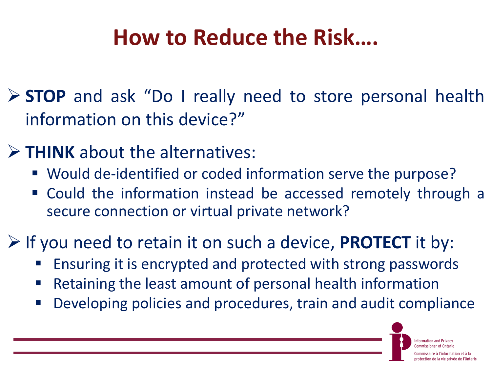## **How to Reduce the Risk….**

 **STOP** and ask "Do I really need to store personal health information on this device?"

**THINK** about the alternatives:

- Would de-identified or coded information serve the purpose?
- Could the information instead be accessed remotely through a secure connection or virtual private network?

If you need to retain it on such a device, **PROTECT** it by:

- Ensuring it is encrypted and protected with strong passwords
- Retaining the least amount of personal health information
- Developing policies and procedures, train and audit compliance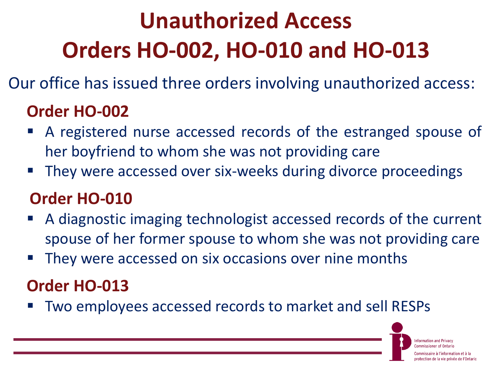# **Unauthorized Access Orders HO-002, HO-010 and HO-013**

Our office has issued three orders involving unauthorized access:

#### **Order HO-002**

- A registered nurse accessed records of the estranged spouse of her boyfriend to whom she was not providing care
- **They were accessed over six-weeks during divorce proceedings**

#### **Order HO-010**

- A diagnostic imaging technologist accessed records of the current spouse of her former spouse to whom she was not providing care
- They were accessed on six occasions over nine months

#### **Order HO-013**

Two employees accessed records to market and sell RESPs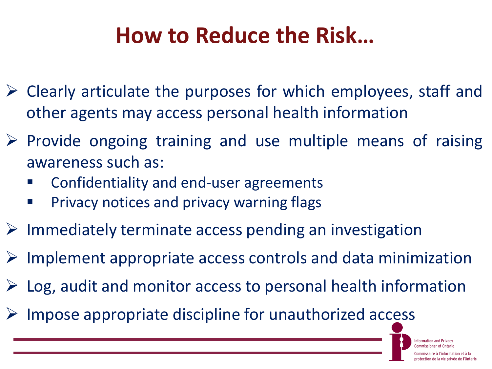## **How to Reduce the Risk…**

- $\triangleright$  Clearly articulate the purposes for which employees, staff and other agents may access personal health information
- $\triangleright$  Provide ongoing training and use multiple means of raising awareness such as:
	- Confidentiality and end-user agreements
	- Privacy notices and privacy warning flags
- $\triangleright$  Immediately terminate access pending an investigation
- $\triangleright$  Implement appropriate access controls and data minimization
- $\triangleright$  Log, audit and monitor access to personal health information
- Impose appropriate discipline for unauthorized access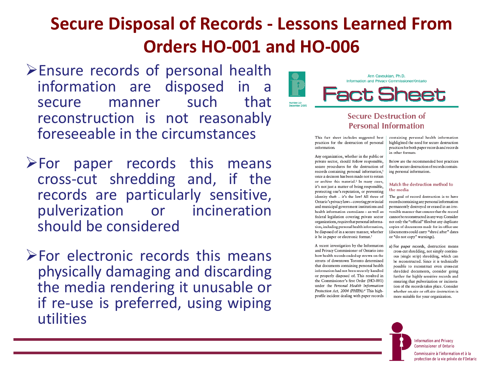### **Secure Disposal of Records - Lessons Learned From Orders HO-001 and HO-006**

- Ensure records of personal health information are disposed in secure manner such that reconstruction is not reasonably foreseeable in the circumstances
- $\triangleright$  For paper records this means cross-cut shredding and, if the records are particularly sensitive, pulverization or incineration should be considered
- $\blacktriangleright$  For electronic records this means physically damaging and discarding the media rendering it unusable or if re-use is preferred, using wiping utilities



#### **Secure Destruction of Personal Information**

practices for the destruction of personal information.

Any organization, whether in the public or private sector, should follow responsible, secure procedures for the destruction of records containing personal information,<sup>1</sup> once a decision has been made not to retain or archive this material.<sup>2</sup> In many cases, it's not just a matter of being responsible, protecting one's reputation, or preventing identity theft - it's the law! All three of Ontario's privacy laws-covering provincial and municipal government institutions and health information custodians - as well as federal legislation covering private sector organizations, require that personal information, including personal health information, be disposed of in a secure manner, whether it be in paper or electronic format.<sup>3</sup>

A recent investigation by the Information and Privacy Commissioner of Ontario into how health records ended up strewn on the streets of downtown Toronto determined that documents containing personal health information had not been securely handled or properly disposed of. This resulted in the Commissioner's first Order (HO-001) under the Personal Health Information Protection Act, 2004 (PHIPA).<sup>4</sup> This highprofile incident dealing with paper records

This fact sheet includes suggested best | containing personal health information highlighted the need for secure destruction practices for both paper records and records in other formats.

> Below are the recommended best practices for the secure destruction of records containing personal information.

#### Match the destruction method to the media

The goal of record destruction is to have records containing any personal information permanently destroyed or erased in an irreversible manner that ensures that the record cannot be reconstructed in any way. Consider not only the "official" files but any duplicate copies of documents made for in-office use (documents could carry "shred after" dates or "do not copy" warnings).

a) For paper records, destruction means cross-cut shredding, not simply continuous (single strip) shredding, which can be reconstructed. Since it is technically possible to reconstruct even cross-cut shredded documents, consider going further for highly sensitive records and ensuring that pulverization or incineration of the records takes place. Consider whether on-site or off-site destruction is more suitable for your organization.

> **Information and Privacy Commissioner of Ontario** Commissaire à l'information et à la protection de la vie privée de l'Ontario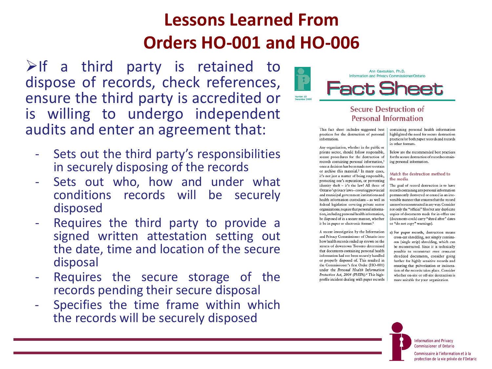### **Lessons Learned From Orders HO-001 and HO-006**

 $\triangleright$  If a third party is retained to dispose of records, check references, ensure the third party is accredited or is willing to undergo independent audits and enter an agreement that:



- Sets out who, how and under what conditions records will be securely disposed
- Requires the third party to provide a signed written attestation setting out the date, time and location of the secure disposal
- Requires the secure storage of the records pending their secure disposal
- Specifies the time frame within which the records will be securely disposed



#### **Secure Destruction of Personal Information**

This fact sheet includes suggested best | containing personal health information practices for the destruction of personal information.

Any organization, whether in the public or private sector, should follow responsible, secure procedures for the destruction of records containing personal information,<sup>1</sup> once a decision has been made not to retain or archive this material.<sup>2</sup> In many cases, it's not just a matter of being responsible, protecting one's reputation, or preventing identity theft - it's the law! All three of Ontario's privacy laws-covering provincial and municipal government institutions and health information custodians - as well as federal legislation covering private sector organizations, require that personal information, including personal health information, be disposed of in a secure manner, whether it be in paper or electronic format.<sup>3</sup>

A recent investigation by the Information and Privacy Commissioner of Ontario into how health records ended up strewn on the streets of downtown Toronto determined that documents containing personal health information had not been securely handled or properly disposed of. This resulted in the Commissioner's first Order (HO-001) under the Personal Health Information Protection Act, 2004 (PHIPA).<sup>4</sup> This highprofile incident dealing with paper records

highlighted the need for secure destruction practices for both paper records and records in other formats.

Below are the recommended best practices for the secure destruction of records containing personal information.

#### Match the destruction method to the media

The goal of record destruction is to have records containing any personal information permanently destroyed or erased in an irreversible manner that ensures that the record cannot be reconstructed in any way. Consider not only the "official" files but any duplicate copies of documents made for in-office use (documents could carry "shred after" dates or "do not copy" warnings).

a) For paper records, destruction means cross-cut shredding, not simply continuous (single strip) shredding, which can be reconstructed. Since it is technically possible to reconstruct even cross-cut shredded documents, consider going further for highly sensitive records and ensuring that pulverization or incineration of the records takes place. Consider whether on-site or off-site destruction is more suitable for your organization.

> **Information and Privacy Commissioner of Ontario** Commissaire à l'information et à la protection de la vie privée de l'Ontario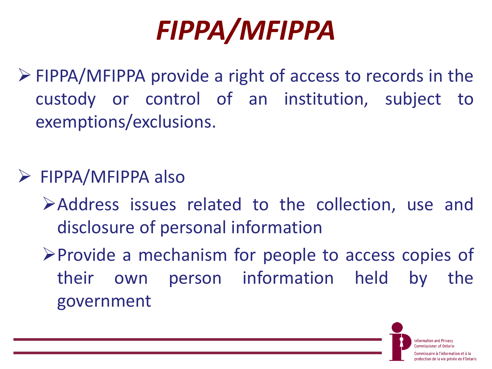# *FIPPA/MFIPPA*

 FIPPA/MFIPPA provide a right of access to records in the custody or control of an institution, subject to exemptions/exclusions.

 $\triangleright$  FIPPA/MFIPPA also

Address issues related to the collection, use and disclosure of personal information

Provide a mechanism for people to access copies of their own person information held by the government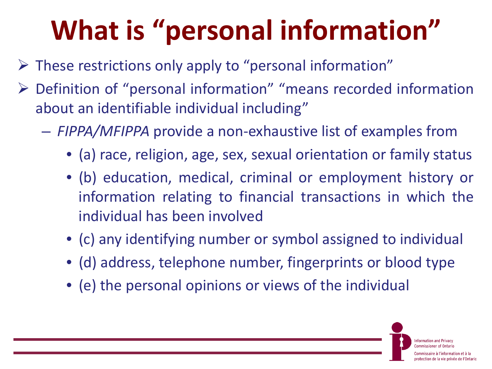# **What is "personal information"**

- $\triangleright$  These restrictions only apply to "personal information"
- Definition of "personal information" "means recorded information about an identifiable individual including"
	- *FIPPA/MFIPPA* provide a non-exhaustive list of examples from
		- (a) race, religion, age, sex, sexual orientation or family status
		- (b) education, medical, criminal or employment history or information relating to financial transactions in which the individual has been involved
		- (c) any identifying number or symbol assigned to individual
		- (d) address, telephone number, fingerprints or blood type
		- (e) the personal opinions or views of the individual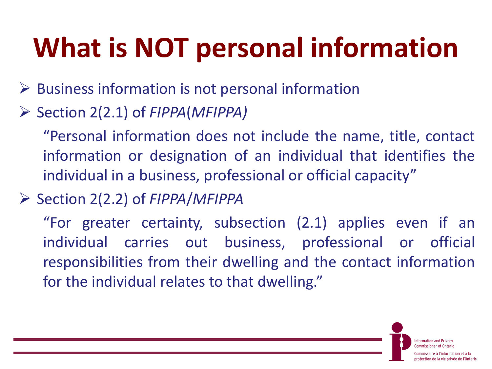# **What is NOT personal information**

- $\triangleright$  Business information is not personal information
- Section 2(2.1) of *FIPPA*(*MFIPPA)*

"Personal information does not include the name, title, contact information or designation of an individual that identifies the individual in a business, professional or official capacity"

Section 2(2.2) of *FIPPA*/*MFIPPA*

"For greater certainty, subsection (2.1) applies even if an individual carries out business, professional or official responsibilities from their dwelling and the contact information for the individual relates to that dwelling."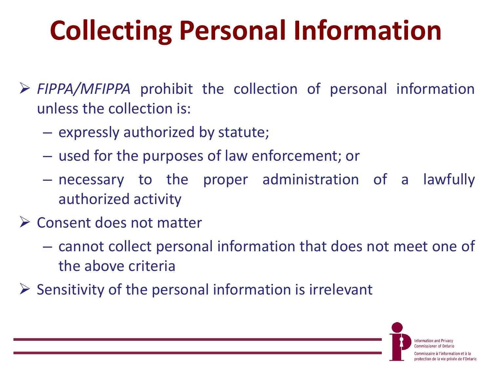# **Collecting Personal Information**

- *FIPPA/MFIPPA* prohibit the collection of personal information unless the collection is:
	- expressly authorized by statute;
	- used for the purposes of law enforcement; or
	- necessary to the proper administration of a lawfully authorized activity
- $\triangleright$  Consent does not matter
	- cannot collect personal information that does not meet one of the above criteria
- $\triangleright$  Sensitivity of the personal information is irrelevant

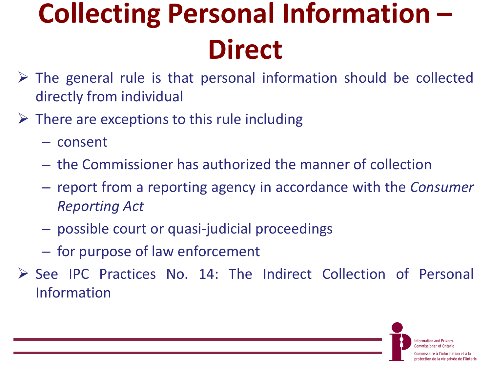# **Collecting Personal Information – Direct**

- $\triangleright$  The general rule is that personal information should be collected directly from individual
- $\triangleright$  There are exceptions to this rule including
	- consent
	- the Commissioner has authorized the manner of collection
	- report from a reporting agency in accordance with the *Consumer Reporting Act*
	- possible court or quasi-judicial proceedings
	- for purpose of law enforcement
- $\triangleright$  See IPC Practices No. 14: The Indirect Collection of Personal Information

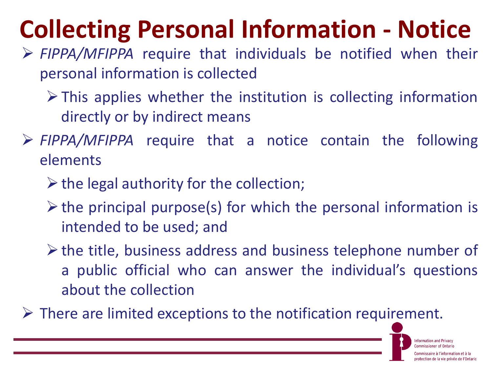# **Collecting Personal Information - Notice**

- *FIPPA/MFIPPA* require that individuals be notified when their personal information is collected
	- $\triangleright$  This applies whether the institution is collecting information directly or by indirect means
- *FIPPA/MFIPPA* require that a notice contain the following elements
	- $\triangleright$  the legal authority for the collection;
	- $\triangleright$  the principal purpose(s) for which the personal information is intended to be used; and
	- $\triangleright$  the title, business address and business telephone number of a public official who can answer the individual's questions about the collection
- $\triangleright$  There are limited exceptions to the notification requirement.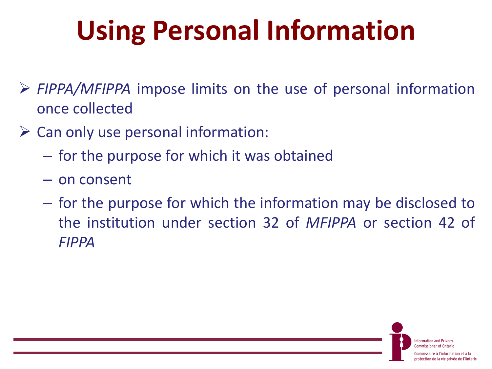# **Using Personal Information**

- *FIPPA/MFIPPA* impose limits on the use of personal information once collected
- $\triangleright$  Can only use personal information:
	- for the purpose for which it was obtained
	- on consent
	- for the purpose for which the information may be disclosed to the institution under section 32 of *MFIPPA* or section 42 of *FIPPA*